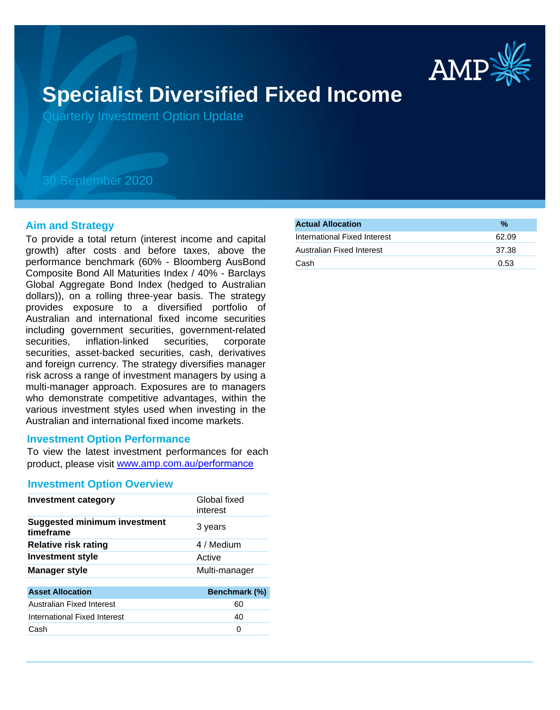

# **Specialist Diversified Fixed Income**

Quarterly Investment Option Update

## 30 September 2020

#### **Aim and Strategy**

To provide a total return (interest income and capital growth) after costs and before taxes, above the performance benchmark (60% - Bloomberg AusBond Composite Bond All Maturities Index / 40% - Barclays Global Aggregate Bond Index (hedged to Australian dollars)), on a rolling three-year basis. The strategy provides exposure to a diversified portfolio of Australian and international fixed income securities including government securities, government-related securities, inflation-linked securities, corporate securities, asset-backed securities, cash, derivatives and foreign currency. The strategy diversifies manager risk across a range of investment managers by using a multi-manager approach. Exposures are to managers who demonstrate competitive advantages, within the various investment styles used when investing in the Australian and international fixed income markets.

#### **Investment Option Performance**

To view the latest investment performances for each product, please visit www.amp.com.au/performance

#### **Investment Option Overview**

| <b>Investment category</b>                       | Global fixed<br>interest |
|--------------------------------------------------|--------------------------|
| <b>Suggested minimum investment</b><br>timeframe | 3 years                  |
| <b>Relative risk rating</b>                      | 4 / Medium               |
| <b>Investment style</b>                          | Active                   |
| <b>Manager style</b>                             | Multi-manager            |
| <b>Asset Allocation</b>                          | Benchmark (%)            |
| Australian Fixed Interest                        | 60                       |
| International Fixed Interest                     | 40                       |
| Cash                                             | 0                        |

| $\frac{0}{2}$ |
|---------------|
| 62.09         |
| 37.38         |
| 0.53          |
|               |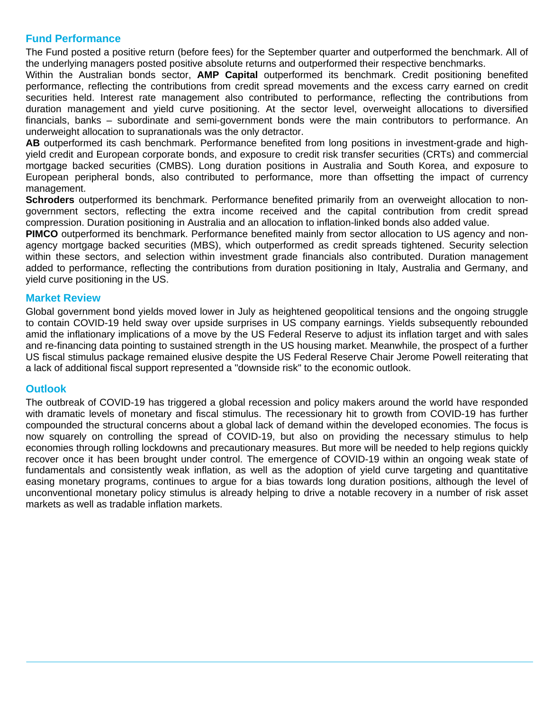### **Fund Performance**

The Fund posted a positive return (before fees) for the September quarter and outperformed the benchmark. All of the underlying managers posted positive absolute returns and outperformed their respective benchmarks.

Within the Australian bonds sector, **AMP Capital** outperformed its benchmark. Credit positioning benefited performance, reflecting the contributions from credit spread movements and the excess carry earned on credit securities held. Interest rate management also contributed to performance, reflecting the contributions from duration management and yield curve positioning. At the sector level, overweight allocations to diversified financials, banks – subordinate and semi-government bonds were the main contributors to performance. An underweight allocation to supranationals was the only detractor.

**AB** outperformed its cash benchmark. Performance benefited from long positions in investment-grade and highyield credit and European corporate bonds, and exposure to credit risk transfer securities (CRTs) and commercial mortgage backed securities (CMBS). Long duration positions in Australia and South Korea, and exposure to European peripheral bonds, also contributed to performance, more than offsetting the impact of currency management.

**Schroders** outperformed its benchmark. Performance benefited primarily from an overweight allocation to nongovernment sectors, reflecting the extra income received and the capital contribution from credit spread compression. Duration positioning in Australia and an allocation to inflation-linked bonds also added value.

**PIMCO** outperformed its benchmark. Performance benefited mainly from sector allocation to US agency and nonagency mortgage backed securities (MBS), which outperformed as credit spreads tightened. Security selection within these sectors, and selection within investment grade financials also contributed. Duration management added to performance, reflecting the contributions from duration positioning in Italy, Australia and Germany, and yield curve positioning in the US.

#### **Market Review**

Global government bond yields moved lower in July as heightened geopolitical tensions and the ongoing struggle to contain COVID-19 held sway over upside surprises in US company earnings. Yields subsequently rebounded amid the inflationary implications of a move by the US Federal Reserve to adjust its inflation target and with sales and re-financing data pointing to sustained strength in the US housing market. Meanwhile, the prospect of a further US fiscal stimulus package remained elusive despite the US Federal Reserve Chair Jerome Powell reiterating that a lack of additional fiscal support represented a "downside risk" to the economic outlook.

#### **Outlook**

The outbreak of COVID-19 has triggered a global recession and policy makers around the world have responded with dramatic levels of monetary and fiscal stimulus. The recessionary hit to growth from COVID-19 has further compounded the structural concerns about a global lack of demand within the developed economies. The focus is now squarely on controlling the spread of COVID-19, but also on providing the necessary stimulus to help economies through rolling lockdowns and precautionary measures. But more will be needed to help regions quickly recover once it has been brought under control. The emergence of COVID-19 within an ongoing weak state of fundamentals and consistently weak inflation, as well as the adoption of yield curve targeting and quantitative easing monetary programs, continues to argue for a bias towards long duration positions, although the level of unconventional monetary policy stimulus is already helping to drive a notable recovery in a number of risk asset markets as well as tradable inflation markets.